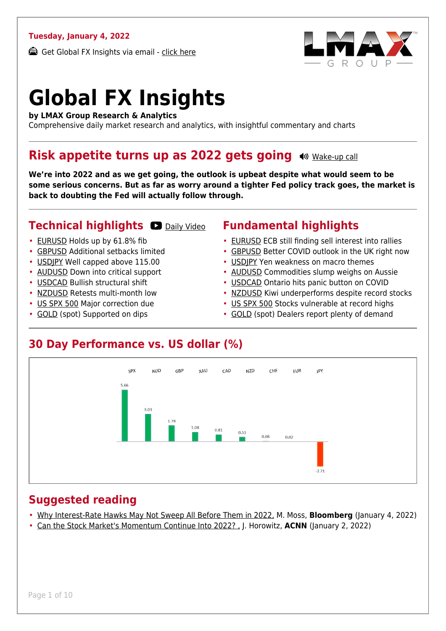#### **Tuesday, January 4, 2022**

Get Global FX Insights via email - [click here](https://www.lmax.com/blog/global-fx-insights/sign-up/?src=gfxipdf)



# **Global FX Insights**

**by LMAX Group Research & Analytics**

Comprehensive daily market research and analytics, with insightful commentary and charts

#### **Risk appetite turns up as 2022 gets going**  $\bullet$  [Wake-up call](https://www.lmax.com/blog/global-fx-insights/2022/01/04/risk-appetite-turns-up-as-2022-gets-going/?utm_source=GlobalFXInsights-Newsletter&utm_medium=Email&utm_campaign=GlobalFXInsights&audio=play#wakeup-52195)

**We're into 2022 and as we get going, the outlook is upbeat despite what would seem to be some serious concerns. But as far as worry around a tighter Fed policy track goes, the market is back to doubting the Fed will actually follow through.**

#### **Technical highlights OD** [Daily Video](https://www.lmax.com/blog/global-fx-insights/2022/01/04/risk-appetite-turns-up-as-2022-gets-going/?utm_source=GlobalFXInsights-Newsletter&utm_medium=Email&utm_campaign=GlobalFXInsights&popup=watch#charttalk-52195)

#### • [EURUSD](#page-1-0) Holds up by 61.8% fib

- [GBPUSD](#page-2-0) Additional setbacks limited
- [USDJPY](#page-3-0) Well capped above 115.00
- [AUDUSD](#page-4-0) Down into critical support
- [USDCAD](#page-5-0) Bullish structural shift
- [NZDUSD](#page-6-0) Retests multi-month low
- [US SPX 500](#page-7-0) Major correction due
- [GOLD](#page-8-0) (spot) Supported on dips

#### **Fundamental highlights**

- [EURUSD](#page-1-1) ECB still finding sell interest into rallies
- [GBPUSD](#page-2-1) Better COVID outlook in the UK right now
- [USDJPY](#page-3-1) Yen weakness on macro themes
- [AUDUSD](#page-4-1) Commodities slump weighs on Aussie
- [USDCAD](#page-5-1) Ontario hits panic button on COVID
- [NZDUSD](#page-6-1) Kiwi underperforms despite record stocks
- [US SPX 500](#page-7-1) Stocks vulnerable at record highs
- [GOLD](#page-8-1) (spot) Dealers report plenty of demand

#### **30 Day Performance vs. US dollar (%)**



#### **Suggested reading**

- [Why Interest-Rate Hawks May Not Sweep All Before Them in 2022,](https://www.lmax.com/blog/global-fx-insights/2022/01/04/risk-appetite-turns-up-as-2022-gets-going/?read=https://www.bloomberg.com/opinion/articles/2022-01-03/interest-rate-hawks-won-t-want-to-strangle-the-economic-recovery-in-2022?srnd=opinion) M. Moss, **Bloomberg** (January 4, 2022)
- [Can the Stock Market's Momentum Continue Into 2022? ,](https://www.lmax.com/blog/global-fx-insights/2022/01/04/risk-appetite-turns-up-as-2022-gets-going/?read=https://edition.cnn.com/2022/01/02/investing/stocks-week-ahead/index.html) J. Horowitz, **ACNN** (January 2, 2022)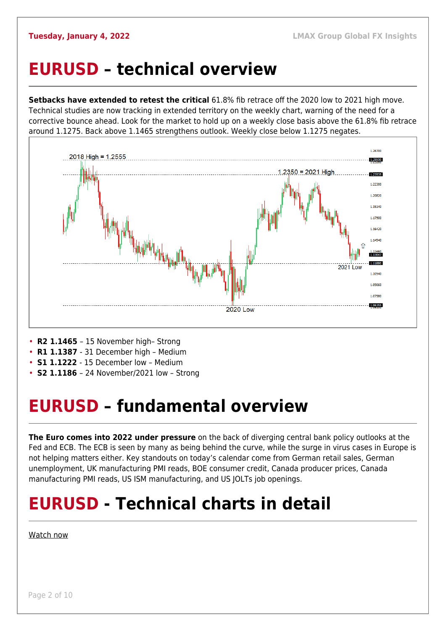### <span id="page-1-0"></span>**EURUSD – technical overview**

**Setbacks have extended to retest the critical** 61.8% fib retrace off the 2020 low to 2021 high move. Technical studies are now tracking in extended territory on the weekly chart, warning of the need for a corrective bounce ahead. Look for the market to hold up on a weekly close basis above the 61.8% fib retrace around 1.1275. Back above 1.1465 strengthens outlook. Weekly close below 1.1275 negates.



- **R2 1.1465**  15 November high– Strong
- **R1 1.1387**  31 December high Medium
- **S1 1.1222**  15 December low Medium
- **S2 1.1186**  24 November/2021 low Strong

## <span id="page-1-1"></span>**EURUSD – fundamental overview**

**The Euro comes into 2022 under pressure** on the back of diverging central bank policy outlooks at the Fed and ECB. The ECB is seen by many as being behind the curve, while the surge in virus cases in Europe is not helping matters either. Key standouts on today's calendar come from German retail sales, German unemployment, UK manufacturing PMI reads, BOE consumer credit, Canada producer prices, Canada manufacturing PMI reads, US ISM manufacturing, and US JOLTs job openings.

## **EURUSD - Technical charts in detail**

#### [Watch now](https://youtu.be/P29foKX1IDw)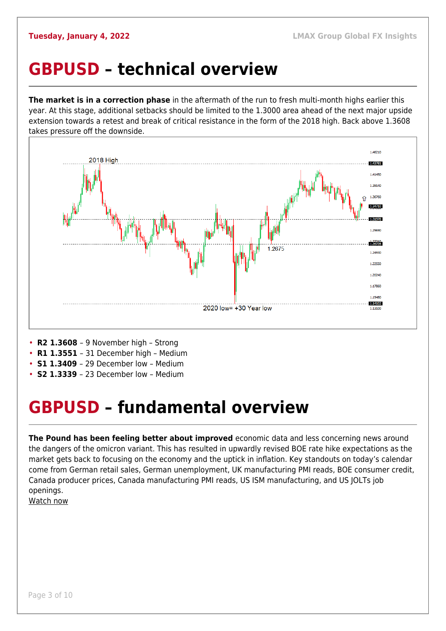### <span id="page-2-0"></span>**GBPUSD – technical overview**

**The market is in a correction phase** in the aftermath of the run to fresh multi-month highs earlier this year. At this stage, additional setbacks should be limited to the 1.3000 area ahead of the next major upside extension towards a retest and break of critical resistance in the form of the 2018 high. Back above 1.3608 takes pressure off the downside.



- **R2 1.3608**  9 November high Strong
- **R1 1.3551**  31 December high Medium
- **S1 1.3409**  29 December low Medium
- **S2 1.3339**  23 December low Medium

## <span id="page-2-1"></span>**GBPUSD – fundamental overview**

**The Pound has been feeling better about improved** economic data and less concerning news around the dangers of the omicron variant. This has resulted in upwardly revised BOE rate hike expectations as the market gets back to focusing on the economy and the uptick in inflation. Key standouts on today's calendar come from German retail sales, German unemployment, UK manufacturing PMI reads, BOE consumer credit, Canada producer prices, Canada manufacturing PMI reads, US ISM manufacturing, and US JOLTs job openings.

[Watch now](https://youtu.be/us4VlHNnfwY)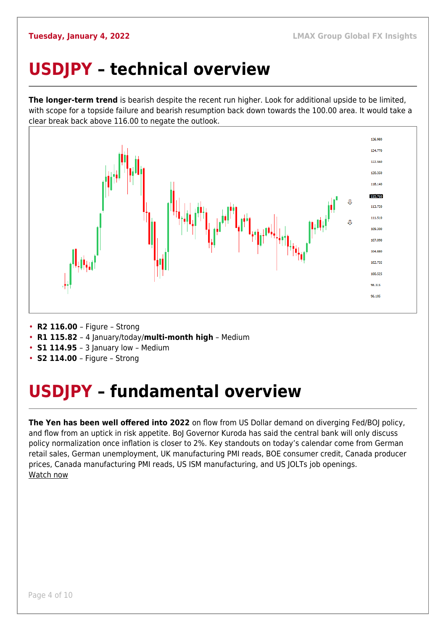## <span id="page-3-0"></span>**USDJPY – technical overview**

**The longer-term trend** is bearish despite the recent run higher. Look for additional upside to be limited, with scope for a topside failure and bearish resumption back down towards the 100.00 area. It would take a clear break back above 116.00 to negate the outlook.



- **R2 116.00**  Figure Strong
- **R1 115.82**  4 January/today/**multi-month high** Medium
- **S1 114.95**  3 January low Medium
- **S2 114.00**  Figure Strong

## <span id="page-3-1"></span>**USDJPY – fundamental overview**

**The Yen has been well offered into 2022** on flow from US Dollar demand on diverging Fed/BOJ policy, and flow from an uptick in risk appetite. BoJ Governor Kuroda has said the central bank will only discuss policy normalization once inflation is closer to 2%. Key standouts on today's calendar come from German retail sales, German unemployment, UK manufacturing PMI reads, BOE consumer credit, Canada producer prices, Canada manufacturing PMI reads, US ISM manufacturing, and US JOLTs job openings. [Watch now](https://youtu.be/mXHJx51NYz4)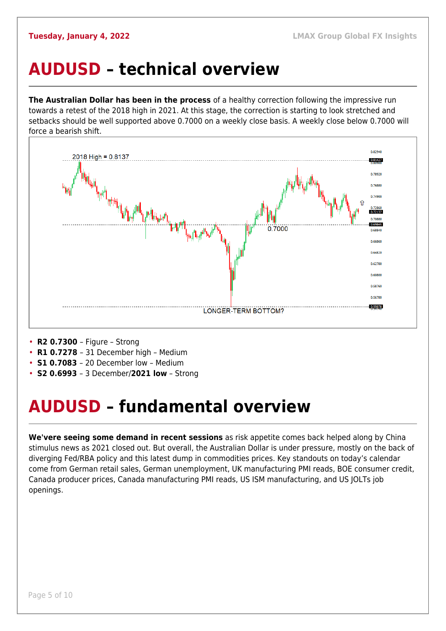### <span id="page-4-0"></span>**AUDUSD – technical overview**

**The Australian Dollar has been in the process** of a healthy correction following the impressive run towards a retest of the 2018 high in 2021. At this stage, the correction is starting to look stretched and setbacks should be well supported above 0.7000 on a weekly close basis. A weekly close below 0.7000 will force a bearish shift.



- **R2 0.7300**  Figure Strong
- **R1 0.7278**  31 December high Medium
- **S1 0.7083**  20 December low Medium
- **S2 0.6993**  3 December/**2021 low** Strong

## <span id="page-4-1"></span>**AUDUSD – fundamental overview**

**We'vere seeing some demand in recent sessions** as risk appetite comes back helped along by China stimulus news as 2021 closed out. But overall, the Australian Dollar is under pressure, mostly on the back of diverging Fed/RBA policy and this latest dump in commodities prices. Key standouts on today's calendar come from German retail sales, German unemployment, UK manufacturing PMI reads, BOE consumer credit, Canada producer prices, Canada manufacturing PMI reads, US ISM manufacturing, and US JOLTs job openings.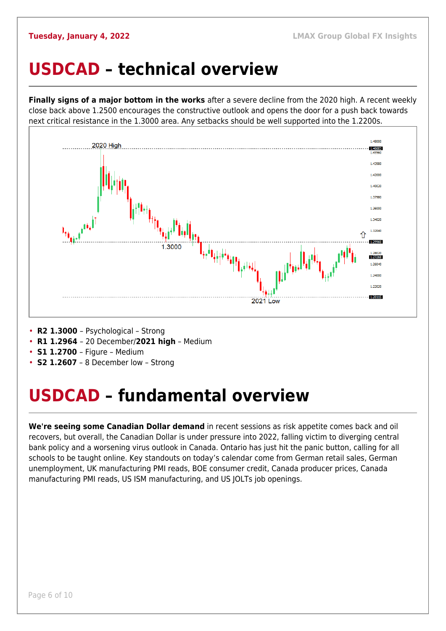#### <span id="page-5-0"></span>**USDCAD – technical overview**

**Finally signs of a major bottom in the works** after a severe decline from the 2020 high. A recent weekly close back above 1.2500 encourages the constructive outlook and opens the door for a push back towards next critical resistance in the 1.3000 area. Any setbacks should be well supported into the 1.2200s.



- **R2 1.3000**  Psychological Strong
- **R1 1.2964**  20 December/**2021 high** Medium
- **S1 1.2700**  Figure Medium
- **S2 1.2607** 8 December low Strong

## <span id="page-5-1"></span>**USDCAD – fundamental overview**

**We're seeing some Canadian Dollar demand** in recent sessions as risk appetite comes back and oil recovers, but overall, the Canadian Dollar is under pressure into 2022, falling victim to diverging central bank policy and a worsening virus outlook in Canada. Ontario has just hit the panic button, calling for all schools to be taught online. Key standouts on today's calendar come from German retail sales, German unemployment, UK manufacturing PMI reads, BOE consumer credit, Canada producer prices, Canada manufacturing PMI reads, US ISM manufacturing, and US JOLTs job openings.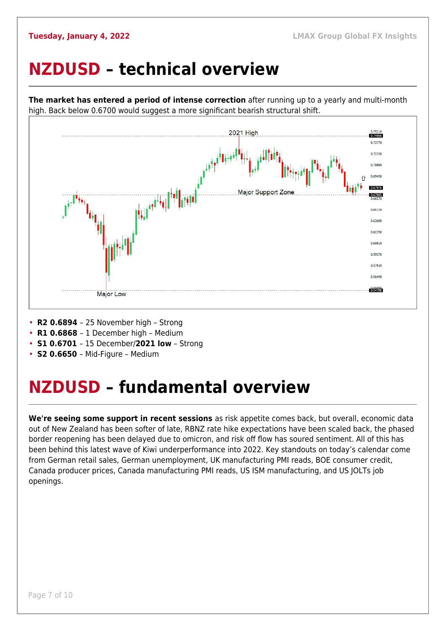### <span id="page-6-0"></span>**NZDUSD – technical overview**



**The market has entered a period of intense correction** after running up to a yearly and multi-month high. Back below 0.6700 would suggest a more significant bearish structural shift.

- **R2 0.6894**  25 November high Strong
- **R1 0.6868**  1 December high Medium
- **S1 0.6701**  15 December/**2021 low** Strong
- **S2 0.6650**  Mid-Figure Medium

### <span id="page-6-1"></span>**NZDUSD – fundamental overview**

**We're seeing some support in recent sessions** as risk appetite comes back, but overall, economic data out of New Zealand has been softer of late, RBNZ rate hike expectations have been scaled back, the phased border reopening has been delayed due to omicron, and risk off flow has soured sentiment. All of this has been behind this latest wave of Kiwi underperformance into 2022. Key standouts on today's calendar come from German retail sales, German unemployment, UK manufacturing PMI reads, BOE consumer credit, Canada producer prices, Canada manufacturing PMI reads, US ISM manufacturing, and US JOLTs job openings.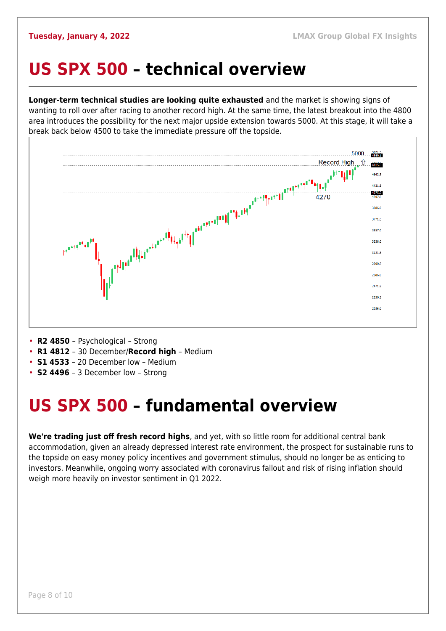#### <span id="page-7-0"></span>**US SPX 500 – technical overview**

**Longer-term technical studies are looking quite exhausted** and the market is showing signs of wanting to roll over after racing to another record high. At the same time, the latest breakout into the 4800 area introduces the possibility for the next major upside extension towards 5000. At this stage, it will take a break back below 4500 to take the immediate pressure off the topside.



- **R2 4850**  Psychological Strong
- **R1 4812**  30 December/**Record high** Medium
- **S1 4533**  20 December low Medium
- **S2 4496**  3 December low Strong

### <span id="page-7-1"></span>**US SPX 500 – fundamental overview**

**We're trading just off fresh record highs**, and yet, with so little room for additional central bank accommodation, given an already depressed interest rate environment, the prospect for sustainable runs to the topside on easy money policy incentives and government stimulus, should no longer be as enticing to investors. Meanwhile, ongoing worry associated with coronavirus fallout and risk of rising inflation should weigh more heavily on investor sentiment in Q1 2022.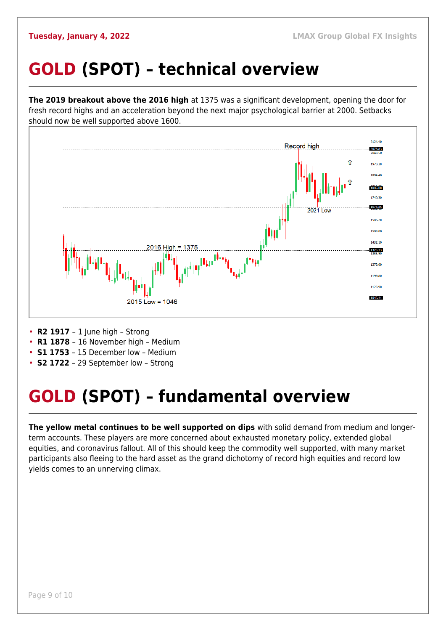## <span id="page-8-0"></span>**GOLD (SPOT) – technical overview**

**The 2019 breakout above the 2016 high** at 1375 was a significant development, opening the door for fresh record highs and an acceleration beyond the next major psychological barrier at 2000. Setbacks should now be well supported above 1600.



- **R2 1917**  1 June high Strong
- **R1 1878**  16 November high Medium
- **S1 1753**  15 December low Medium
- **S2 1722**  29 September low Strong

## <span id="page-8-1"></span>**GOLD (SPOT) – fundamental overview**

**The yellow metal continues to be well supported on dips** with solid demand from medium and longerterm accounts. These players are more concerned about exhausted monetary policy, extended global equities, and coronavirus fallout. All of this should keep the commodity well supported, with many market participants also fleeing to the hard asset as the grand dichotomy of record high equities and record low yields comes to an unnerving climax.